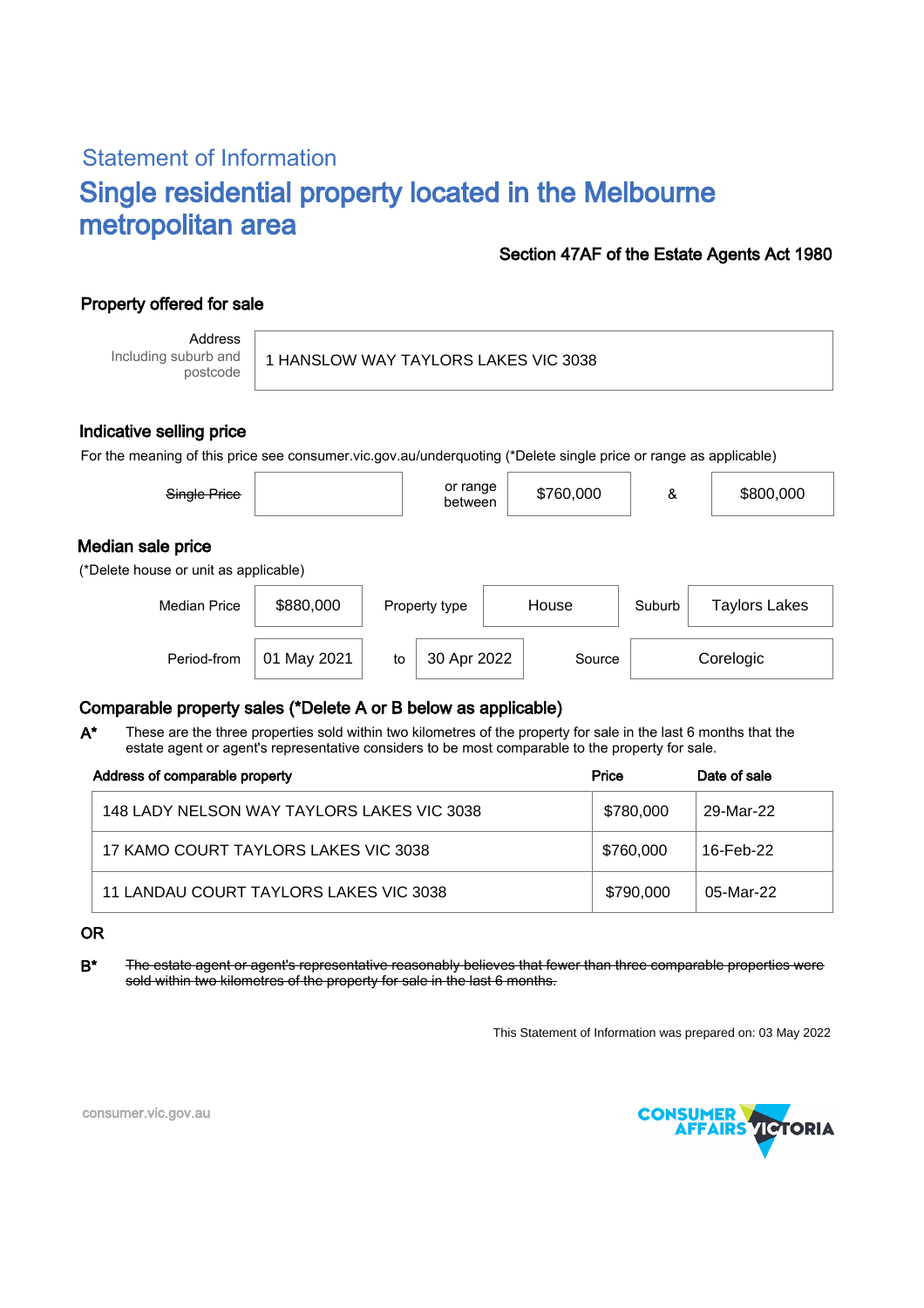# Statement of Information Single residential property located in the Melbourne metropolitan area

### Section 47AF of the Estate Agents Act 1980

## Property offered for sale

Address Including suburb and postcode

1 HANSLOW WAY TAYLORS LAKES VIC 3038

### Indicative selling price

For the meaning of this price see consumer.vic.gov.au/underquoting (\*Delete single price or range as applicable)

| Single Price                                               |             |               | or range<br>between |  | \$760,000 | &                    | \$800,000 |
|------------------------------------------------------------|-------------|---------------|---------------------|--|-----------|----------------------|-----------|
| Median sale price<br>(*Delete house or unit as applicable) |             |               |                     |  |           |                      |           |
| <b>Median Price</b>                                        | \$880,000   | Property type | House               |  | Suburb    | <b>Taylors Lakes</b> |           |
| Period-from                                                | 01 May 2021 | to            | 30 Apr 2022         |  | Source    |                      | Corelogic |

## Comparable property sales (\*Delete A or B below as applicable)

These are the three properties sold within two kilometres of the property for sale in the last 6 months that the estate agent or agent's representative considers to be most comparable to the property for sale. A\*

| Address of comparable property             | Price     | Date of sale |
|--------------------------------------------|-----------|--------------|
| 148 LADY NELSON WAY TAYLORS LAKES VIC 3038 | \$780,000 | 29-Mar-22    |
| 17 KAMO COURT TAYLORS LAKES VIC 3038       | \$760,000 | 16-Feb-22    |
| 11 LANDAU COURT TAYLORS LAKES VIC 3038     | \$790,000 | 05-Mar-22    |

#### OR

B<sup>\*</sup> The estate agent or agent's representative reasonably believes that fewer than three comparable properties were sold within two kilometres of the property for sale in the last 6 months.

This Statement of Information was prepared on: 03 May 2022



consumer.vic.gov.au